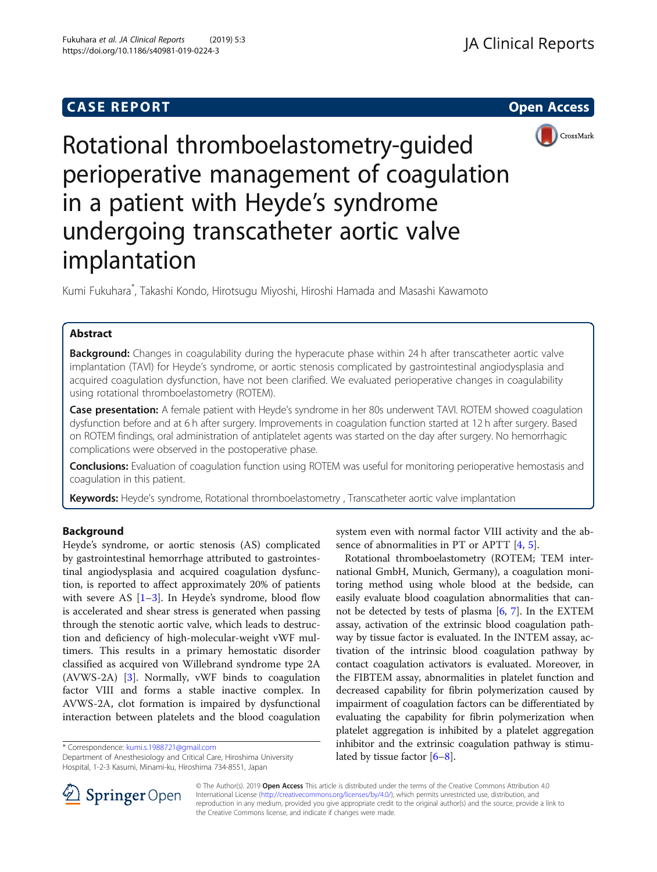# **CASE REPORT CASE REPORT CASE REPORT**





Rotational thromboelastometry-guided perioperative management of coagulation in a patient with Heyde's syndrome undergoing transcatheter aortic valve implantation

Kumi Fukuhara\* , Takashi Kondo, Hirotsugu Miyoshi, Hiroshi Hamada and Masashi Kawamoto

# Abstract

Background: Changes in coagulability during the hyperacute phase within 24 h after transcatheter aortic valve implantation (TAVI) for Heyde's syndrome, or aortic stenosis complicated by gastrointestinal angiodysplasia and acquired coagulation dysfunction, have not been clarified. We evaluated perioperative changes in coagulability using rotational thromboelastometry (ROTEM).

Case presentation: A female patient with Heyde's syndrome in her 80s underwent TAVI. ROTEM showed coagulation dysfunction before and at 6 h after surgery. Improvements in coagulation function started at 12 h after surgery. Based on ROTEM findings, oral administration of antiplatelet agents was started on the day after surgery. No hemorrhagic complications were observed in the postoperative phase.

Conclusions: Evaluation of coagulation function using ROTEM was useful for monitoring perioperative hemostasis and coagulation in this patient.

Keywords: Heyde's syndrome, Rotational thromboelastometry, Transcatheter aortic valve implantation

# Background

Heyde's syndrome, or aortic stenosis (AS) complicated by gastrointestinal hemorrhage attributed to gastrointestinal angiodysplasia and acquired coagulation dysfunction, is reported to affect approximately 20% of patients with severe AS  $[1-3]$  $[1-3]$  $[1-3]$  $[1-3]$ . In Heyde's syndrome, blood flow is accelerated and shear stress is generated when passing through the stenotic aortic valve, which leads to destruction and deficiency of high-molecular-weight vWF multimers. This results in a primary hemostatic disorder classified as acquired von Willebrand syndrome type 2A (AVWS-2A) [\[3](#page-3-0)]. Normally, vWF binds to coagulation factor VIII and forms a stable inactive complex. In AVWS-2A, clot formation is impaired by dysfunctional interaction between platelets and the blood coagulation

\* Correspondence: [kumi.s.1988721@gmail.com](mailto:kumi.s.1988721@gmail.com)

Department of Anesthesiology and Critical Care, Hiroshima University Hospital, 1-2-3 Kasumi, Minami-ku, Hiroshima 734-8551, Japan

system even with normal factor VIII activity and the absence of abnormalities in PT or APTT [[4,](#page-4-0) [5\]](#page-4-0).

Rotational thromboelastometry (ROTEM; TEM international GmbH, Munich, Germany), a coagulation monitoring method using whole blood at the bedside, can easily evaluate blood coagulation abnormalities that cannot be detected by tests of plasma [[6,](#page-4-0) [7](#page-4-0)]. In the EXTEM assay, activation of the extrinsic blood coagulation pathway by tissue factor is evaluated. In the INTEM assay, activation of the intrinsic blood coagulation pathway by contact coagulation activators is evaluated. Moreover, in the FIBTEM assay, abnormalities in platelet function and decreased capability for fibrin polymerization caused by impairment of coagulation factors can be differentiated by evaluating the capability for fibrin polymerization when platelet aggregation is inhibited by a platelet aggregation inhibitor and the extrinsic coagulation pathway is stimulated by tissue factor [[6](#page-4-0)–[8](#page-4-0)].



© The Author(s). 2019 Open Access This article is distributed under the terms of the Creative Commons Attribution 4.0 International License ([http://creativecommons.org/licenses/by/4.0/\)](http://creativecommons.org/licenses/by/4.0/), which permits unrestricted use, distribution, and reproduction in any medium, provided you give appropriate credit to the original author(s) and the source, provide a link to the Creative Commons license, and indicate if changes were made.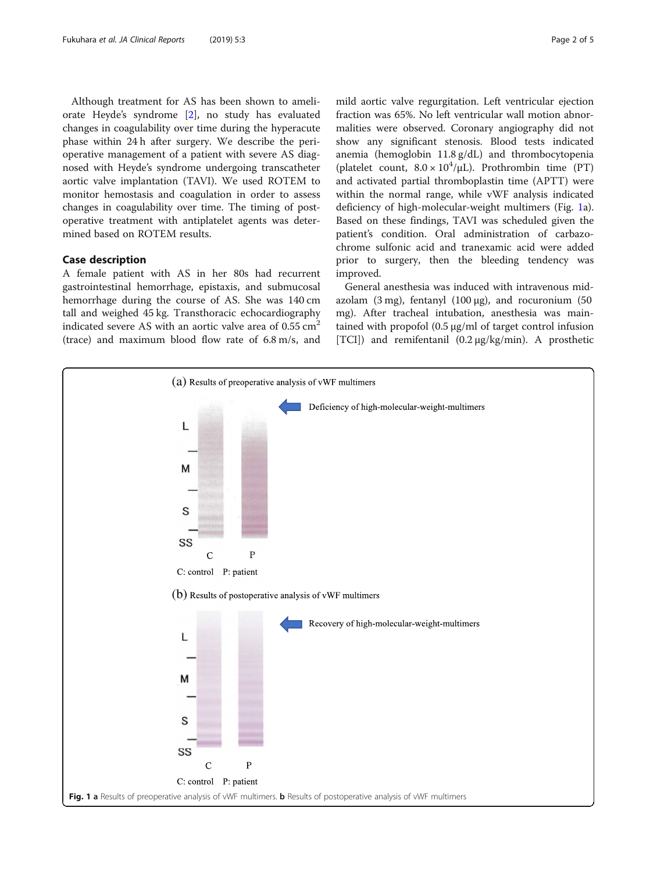<span id="page-1-0"></span>Although treatment for AS has been shown to ameliorate Heyde's syndrome [[2\]](#page-3-0), no study has evaluated changes in coagulability over time during the hyperacute phase within 24 h after surgery. We describe the perioperative management of a patient with severe AS diagnosed with Heyde's syndrome undergoing transcatheter aortic valve implantation (TAVI). We used ROTEM to monitor hemostasis and coagulation in order to assess changes in coagulability over time. The timing of postoperative treatment with antiplatelet agents was determined based on ROTEM results.

# Case description

A female patient with AS in her 80s had recurrent gastrointestinal hemorrhage, epistaxis, and submucosal hemorrhage during the course of AS. She was 140 cm tall and weighed 45 kg. Transthoracic echocardiography indicated severe AS with an aortic valve area of  $0.55 \text{ cm}^2$ (trace) and maximum blood flow rate of 6.8 m/s, and mild aortic valve regurgitation. Left ventricular ejection fraction was 65%. No left ventricular wall motion abnormalities were observed. Coronary angiography did not show any significant stenosis. Blood tests indicated anemia (hemoglobin 11.8 g/dL) and thrombocytopenia (platelet count,  $8.0 \times 10^4/\mu L$ ). Prothrombin time (PT) and activated partial thromboplastin time (APTT) were within the normal range, while vWF analysis indicated deficiency of high-molecular-weight multimers (Fig. 1a). Based on these findings, TAVI was scheduled given the patient's condition. Oral administration of carbazochrome sulfonic acid and tranexamic acid were added prior to surgery, then the bleeding tendency was improved.

General anesthesia was induced with intravenous midazolam (3 mg), fentanyl (100  $\mu$ g), and rocuronium (50 mg). After tracheal intubation, anesthesia was maintained with propofol (0.5 μg/ml of target control infusion [TCI]) and remifentanil (0.2 μg/kg/min). A prosthetic

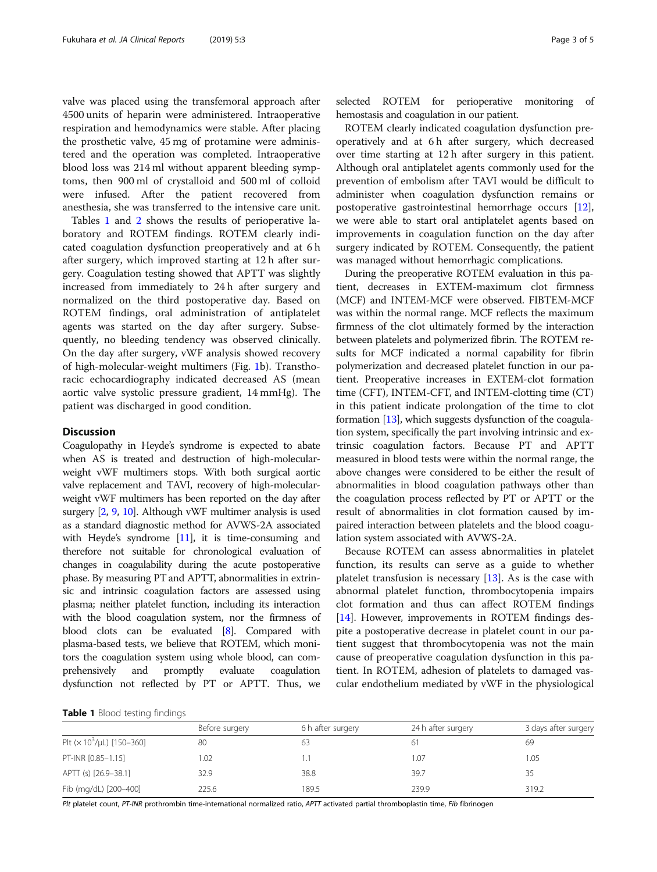valve was placed using the transfemoral approach after 4500 units of heparin were administered. Intraoperative respiration and hemodynamics were stable. After placing the prosthetic valve, 45 mg of protamine were administered and the operation was completed. Intraoperative blood loss was 214 ml without apparent bleeding symptoms, then 900 ml of crystalloid and 500 ml of colloid were infused. After the patient recovered from anesthesia, she was transferred to the intensive care unit.

Tables 1 and [2](#page-3-0) shows the results of perioperative laboratory and ROTEM findings. ROTEM clearly indicated coagulation dysfunction preoperatively and at 6 h after surgery, which improved starting at 12 h after surgery. Coagulation testing showed that APTT was slightly increased from immediately to 24 h after surgery and normalized on the third postoperative day. Based on ROTEM findings, oral administration of antiplatelet agents was started on the day after surgery. Subsequently, no bleeding tendency was observed clinically. On the day after surgery, vWF analysis showed recovery of high-molecular-weight multimers (Fig. [1b](#page-1-0)). Transthoracic echocardiography indicated decreased AS (mean aortic valve systolic pressure gradient, 14 mmHg). The patient was discharged in good condition.

# **Discussion**

Coagulopathy in Heyde's syndrome is expected to abate when AS is treated and destruction of high-molecularweight vWF multimers stops. With both surgical aortic valve replacement and TAVI, recovery of high-molecularweight vWF multimers has been reported on the day after surgery [\[2](#page-3-0), [9](#page-4-0), [10\]](#page-4-0). Although vWF multimer analysis is used as a standard diagnostic method for AVWS-2A associated with Heyde's syndrome [[11](#page-4-0)], it is time-consuming and therefore not suitable for chronological evaluation of changes in coagulability during the acute postoperative phase. By measuring PT and APTT, abnormalities in extrinsic and intrinsic coagulation factors are assessed using plasma; neither platelet function, including its interaction with the blood coagulation system, nor the firmness of blood clots can be evaluated [\[8](#page-4-0)]. Compared with plasma-based tests, we believe that ROTEM, which monitors the coagulation system using whole blood, can comprehensively and promptly evaluate coagulation dysfunction not reflected by PT or APTT. Thus, we

selected ROTEM for perioperative monitoring of hemostasis and coagulation in our patient.

ROTEM clearly indicated coagulation dysfunction preoperatively and at 6 h after surgery, which decreased over time starting at 12 h after surgery in this patient. Although oral antiplatelet agents commonly used for the prevention of embolism after TAVI would be difficult to administer when coagulation dysfunction remains or postoperative gastrointestinal hemorrhage occurs [\[12](#page-4-0)], we were able to start oral antiplatelet agents based on improvements in coagulation function on the day after surgery indicated by ROTEM. Consequently, the patient was managed without hemorrhagic complications.

During the preoperative ROTEM evaluation in this patient, decreases in EXTEM-maximum clot firmness (MCF) and INTEM-MCF were observed. FIBTEM-MCF was within the normal range. MCF reflects the maximum firmness of the clot ultimately formed by the interaction between platelets and polymerized fibrin. The ROTEM results for MCF indicated a normal capability for fibrin polymerization and decreased platelet function in our patient. Preoperative increases in EXTEM-clot formation time (CFT), INTEM-CFT, and INTEM-clotting time (CT) in this patient indicate prolongation of the time to clot formation [\[13\]](#page-4-0), which suggests dysfunction of the coagulation system, specifically the part involving intrinsic and extrinsic coagulation factors. Because PT and APTT measured in blood tests were within the normal range, the above changes were considered to be either the result of abnormalities in blood coagulation pathways other than the coagulation process reflected by PT or APTT or the result of abnormalities in clot formation caused by impaired interaction between platelets and the blood coagulation system associated with AVWS-2A.

Because ROTEM can assess abnormalities in platelet function, its results can serve as a guide to whether platelet transfusion is necessary  $[13]$  $[13]$ . As is the case with abnormal platelet function, thrombocytopenia impairs clot formation and thus can affect ROTEM findings [[14\]](#page-4-0). However, improvements in ROTEM findings despite a postoperative decrease in platelet count in our patient suggest that thrombocytopenia was not the main cause of preoperative coagulation dysfunction in this patient. In ROTEM, adhesion of platelets to damaged vascular endothelium mediated by vWF in the physiological

| Table 1 Blood testing findings |  |  |
|--------------------------------|--|--|
|--------------------------------|--|--|

|                                               | Before surgery | 6 h after surgery | 24 h after surgery | 3 days after surgery |
|-----------------------------------------------|----------------|-------------------|--------------------|----------------------|
| Plt ( $\times$ 10 <sup>3</sup> /µL) [150-360] | 80             | 63                | 61                 | 69                   |
| PT-INR [0.85-1.15]                            | 1.02           |                   | 1.07               | 1.05                 |
| APTT (s) [26.9-38.1]                          | 32.9           | 38.8              | 39.7               | 35                   |
| Fib (mg/dL) [200-400]                         | 225.6          | 189.5             | 239.9              | 319.2                |

Plt platelet count, PT-INR prothrombin time-international normalized ratio, APTT activated partial thromboplastin time, Fib fibrinogen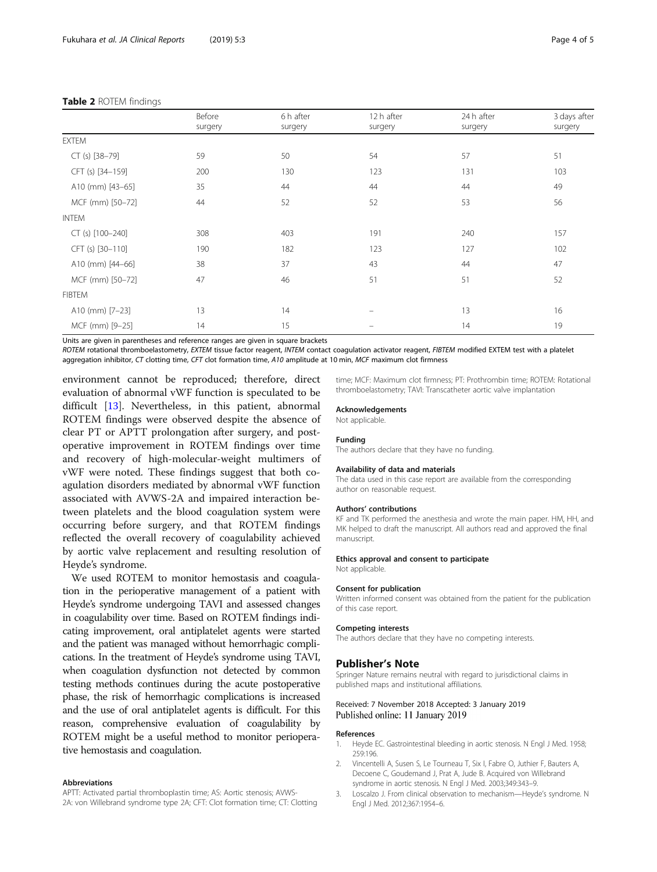### <span id="page-3-0"></span>Table 2 ROTEM findings

|                    | $39 - 9$ | $39 - 9$ | 50.9     | 50.9 | 50.9 |
|--------------------|----------|----------|----------|------|------|
| <b>EXTEM</b>       |          |          |          |      |      |
| $CT (s) [38-79]$   | 59       | 50       | 54       | 57   | 51   |
| CFT (s) [34-159]   | 200      | 130      | 123      | 131  | 103  |
| A10 (mm) [43-65]   | 35       | 44       | 44       | 44   | 49   |
| MCF (mm) [50-72]   | 44       | 52       | 52       | 53   | 56   |
| <b>INTEM</b>       |          |          |          |      |      |
| $CT (s) [100-240]$ | 308      | 403      | 191      | 240  | 157  |
| CFT (s) [30-110]   | 190      | 182      | 123      | 127  | 102  |
| A10 (mm) [44-66]   | 38       | 37       | 43       | 44   | 47   |
| MCF (mm) [50-72]   | 47       | 46       | 51       | 51   | 52   |
| <b>FIBTEM</b>      |          |          |          |      |      |
| A10 (mm) [7-23]    | 13       | 14       | $\equiv$ | 13   | 16   |
| MCF (mm) [9-25]    | 14       | 15       |          | 14   | 19   |

Units are given in parentheses and reference ranges are given in square brackets

Before surgen

ROTEM rotational thromboelastometry, EXTEM tissue factor reagent, INTEM contact coagulation activator reagent, FIBTEM modified EXTEM test with a platelet aggregation inhibitor, CT clotting time, CFT clot formation time, A10 amplitude at 10 min, MCF maximum clot firmness

environment cannot be reproduced; therefore, direct evaluation of abnormal vWF function is speculated to be difficult [[13](#page-4-0)]. Nevertheless, in this patient, abnormal ROTEM findings were observed despite the absence of clear PT or APTT prolongation after surgery, and postoperative improvement in ROTEM findings over time and recovery of high-molecular-weight multimers of vWF were noted. These findings suggest that both coagulation disorders mediated by abnormal vWF function associated with AVWS-2A and impaired interaction between platelets and the blood coagulation system were occurring before surgery, and that ROTEM findings reflected the overall recovery of coagulability achieved by aortic valve replacement and resulting resolution of Heyde's syndrome.

We used ROTEM to monitor hemostasis and coagulation in the perioperative management of a patient with Heyde's syndrome undergoing TAVI and assessed changes in coagulability over time. Based on ROTEM findings indicating improvement, oral antiplatelet agents were started and the patient was managed without hemorrhagic complications. In the treatment of Heyde's syndrome using TAVI, when coagulation dysfunction not detected by common testing methods continues during the acute postoperative phase, the risk of hemorrhagic complications is increased and the use of oral antiplatelet agents is difficult. For this reason, comprehensive evaluation of coagulability by ROTEM might be a useful method to monitor perioperative hemostasis and coagulation.

#### Abbreviations

APTT: Activated partial thromboplastin time; AS: Aortic stenosis; AVWS-2A: von Willebrand syndrome type 2A; CFT: Clot formation time; CT: Clotting

time; MCF: Maximum clot firmness; PT: Prothrombin time; ROTEM: Rotational thromboelastometry; TAVI: Transcatheter aortic valve implantation

#### Acknowledgements

Not applicable.

#### Funding

The authors declare that they have no funding.

#### Availability of data and materials

The data used in this case report are available from the corresponding author on reasonable request.

#### Authors' contributions

KF and TK performed the anesthesia and wrote the main paper. HM, HH, and MK helped to draft the manuscript. All authors read and approved the final manuscript.

#### Ethics approval and consent to participate

Not applicable.

#### Consent for publication

Written informed consent was obtained from the patient for the publication of this case report.

#### Competing interests

The authors declare that they have no competing interests.

### Publisher's Note

Springer Nature remains neutral with regard to jurisdictional claims in published maps and institutional affiliations.

## Received: 7 November 2018 Accepted: 3 January 2019 Published online: 11 January 2019

#### References

- 1. Heyde EC. Gastrointestinal bleeding in aortic stenosis. N Engl J Med. 1958; 259:196.
- 2. Vincentelli A, Susen S, Le Tourneau T, Six I, Fabre O, Juthier F, Bauters A, Decoene C, Goudemand J, Prat A, Jude B. Acquired von Willebrand syndrome in aortic stenosis. N Engl J Med. 2003;349:343–9.
- 3. Loscalzo J. From clinical observation to mechanism—Heyde's syndrome. N Engl J Med. 2012;367:1954–6.

3 days after surgery